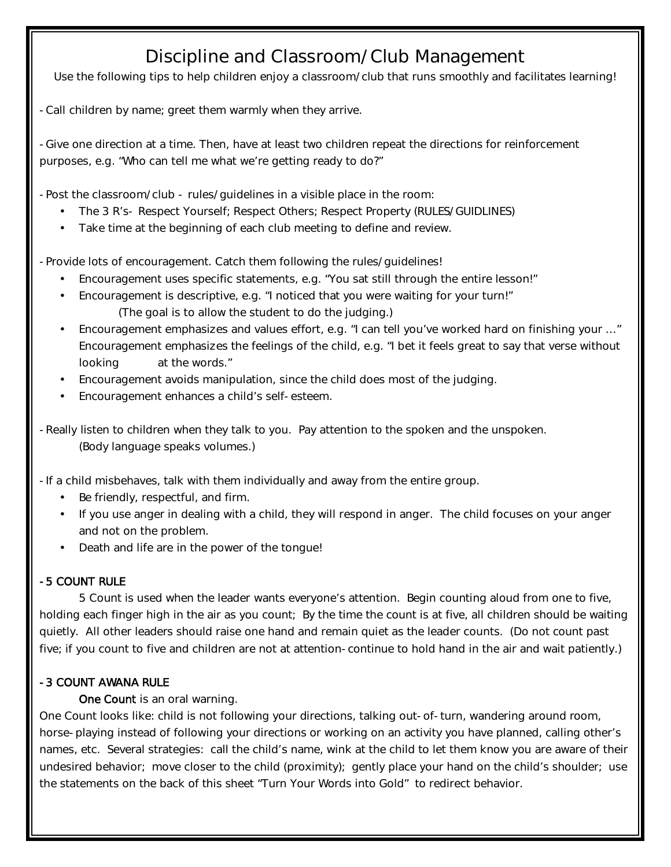## Discipline and Classroom/Club Management

Use the following tips to help children enjoy a classroom/club that runs smoothly and facilitates learning!

- Call children by name; greet them warmly when they arrive.

- Give one direction at a time. Then, have at least two children repeat the directions for reinforcement purposes, e.g. "Who can tell me what we're getting ready to do?"

- Post the classroom/club - rules/guidelines in a visible place in the room:

- The 3 R's- Respect Yourself; Respect Others; Respect Property (RULES/GUIDLINES)
- Take time at the beginning of each club meeting to define and review.

- Provide lots of encouragement. Catch them following the rules/guidelines!

- Encouragement uses specific statements, e.g. "You sat still through the entire lesson!"
- Encouragement is descriptive, e.g. "I noticed that you were waiting for your turn!" (The goal is to allow the student to do the judging.)
- Encouragement emphasizes and values effort, e.g. "I can tell you've worked hard on finishing your … " Encouragement emphasizes the feelings of the child, e.g. "I bet it feels great to say that verse without looking at the words."
- Encouragement avoids manipulation, since the child does most of the judging.
- Encouragement enhances a child's self- esteem.

- Really listen to children when they talk to you. Pay attention to the spoken and the unspoken. (Body language speaks volumes.)

- If a child misbehaves, talk with them individually and away from the entire group.

- Be friendly, respectful, and firm.
- If you use anger in dealing with a child, they will respond in anger. The child focuses on your anger and not on the problem.
- Death and life are in the power of the tongue!

## - 5 COUNT RULE

5 Count is used when the leader wants everyone's attention. Begin counting aloud from one to five, holding each finger high in the air as you count; By the time the count is at five, all children should be waiting quietly. All other leaders should raise one hand and remain quiet as the leader counts. (Do not count past five; if you count to five and children are not at attention- continue to hold hand in the air and wait patiently.)

## - 3 COUNT AWANA RULE

One Count is an oral warning.

One Count looks like: child is not following your directions, talking out- of- turn, wandering around room, horse- playing instead of following your directions or working on an activity you have planned, calling other's names, etc. Several strategies: call the child's name, wink at the child to let them know you are aware of their undesired behavior; move closer to the child (proximity); gently place your hand on the child's shoulder; use the statements on the back of this sheet "Turn Your Words into Gold" to redirect behavior.